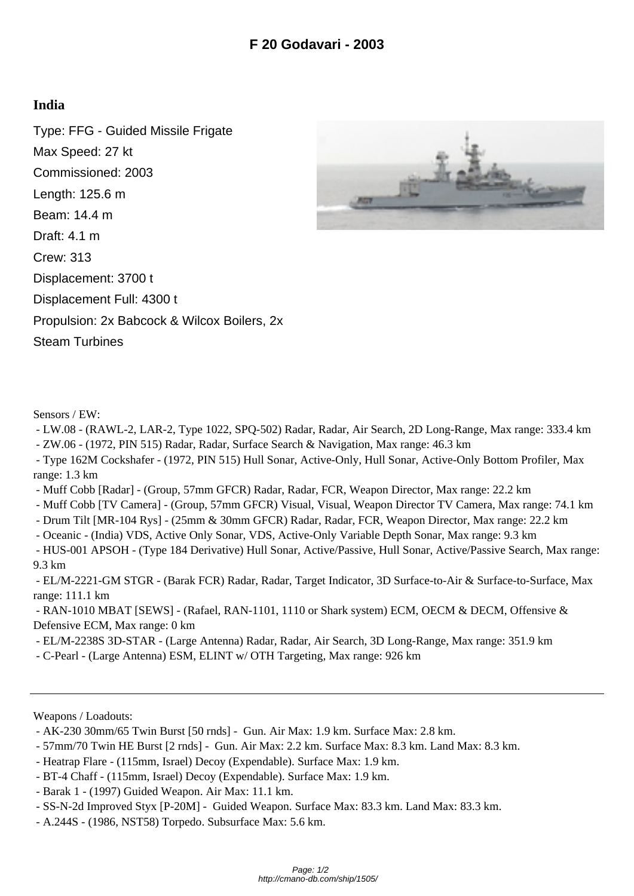## **India**

Type: FFG - Guided Missile Frigate Max Speed: 27 kt Commissioned: 2003 Length: 125.6 m Beam: 14.4 m Draft: 4.1 m Crew: 313 Displacement: 3700 t Displacement Full: 4300 t Propulsion: 2x Babcock & Wilcox Boilers, 2x Steam Turbines



Sensors / EW:

 - LW.08 - (RAWL-2, LAR-2, Type 1022, SPQ-502) Radar, Radar, Air Search, 2D Long-Range, Max range: 333.4 km - ZW.06 - (1972, PIN 515) Radar, Radar, Surface Search & Navigation, Max range: 46.3 km

 - Type 162M Cockshafer - (1972, PIN 515) Hull Sonar, Active-Only, Hull Sonar, Active-Only Bottom Profiler, Max range: 1.3 km

- Muff Cobb [Radar] (Group, 57mm GFCR) Radar, Radar, FCR, Weapon Director, Max range: 22.2 km
- Muff Cobb [TV Camera] (Group, 57mm GFCR) Visual, Visual, Weapon Director TV Camera, Max range: 74.1 km
- Drum Tilt [MR-104 Rys] (25mm & 30mm GFCR) Radar, Radar, FCR, Weapon Director, Max range: 22.2 km
- Oceanic (India) VDS, Active Only Sonar, VDS, Active-Only Variable Depth Sonar, Max range: 9.3 km

 - HUS-001 APSOH - (Type 184 Derivative) Hull Sonar, Active/Passive, Hull Sonar, Active/Passive Search, Max range: 9.3 km

 - EL/M-2221-GM STGR - (Barak FCR) Radar, Radar, Target Indicator, 3D Surface-to-Air & Surface-to-Surface, Max range: 111.1 km

 - RAN-1010 MBAT [SEWS] - (Rafael, RAN-1101, 1110 or Shark system) ECM, OECM & DECM, Offensive & Defensive ECM, Max range: 0 km

 - EL/M-2238S 3D-STAR - (Large Antenna) Radar, Radar, Air Search, 3D Long-Range, Max range: 351.9 km - C-Pearl - (Large Antenna) ESM, ELINT w/ OTH Targeting, Max range: 926 km

Weapons / Loadouts:

- AK-230 30mm/65 Twin Burst [50 rnds] Gun. Air Max: 1.9 km. Surface Max: 2.8 km.
- 57mm/70 Twin HE Burst [2 rnds] Gun. Air Max: 2.2 km. Surface Max: 8.3 km. Land Max: 8.3 km.
- Heatrap Flare (115mm, Israel) Decoy (Expendable). Surface Max: 1.9 km.
- BT-4 Chaff (115mm, Israel) Decoy (Expendable). Surface Max: 1.9 km.
- Barak 1 (1997) Guided Weapon. Air Max: 11.1 km.
- SS-N-2d Improved Styx [P-20M] Guided Weapon. Surface Max: 83.3 km. Land Max: 83.3 km.
- A.244S (1986, NST58) Torpedo. Subsurface Max: 5.6 km.